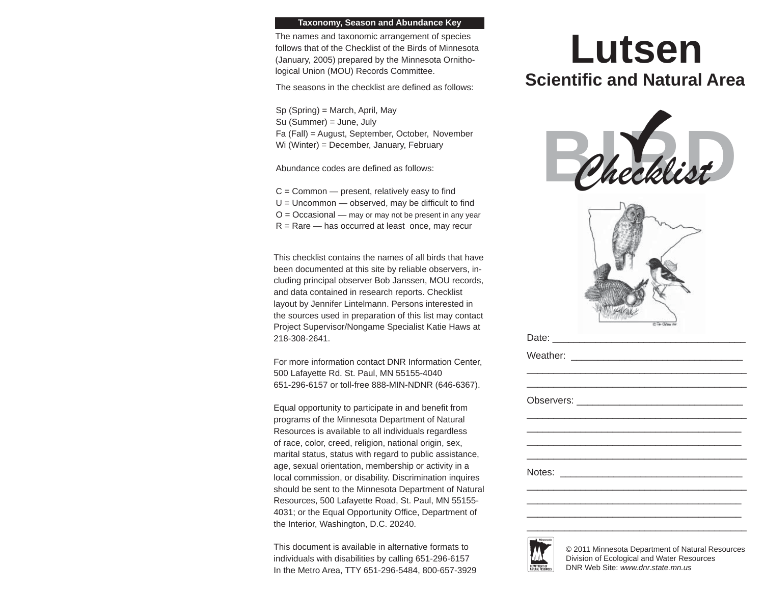## **Taxonomy, Season and Abundance Key**

The names and taxonomic arrangement of species follows that of the Checklist of the Birds of Minnesota (January, 2005) prepared by the Minnesota Ornithological Union (MOU) Records Committee.

The seasons in the checklist are defined as follows:

Sp (Spring) = March, April, May Su (Summer) = June, July Fa (Fall) = August, September, October, November Wi (Winter) = December, January, February

Abundance codes are defined as follows:

 $C =$  Common  $-$  present, relatively easy to find  $U =$  Uncommon  $-$  observed, may be difficult to find  $O = Occasional$  — may or may not be present in any year  $R =$ Rare — has occurred at least once, may recur

This checklist contains the names of all birds that have been documented at this site by reliable observers, including principal observer Bob Janssen, MOU records, and data contained in research reports. Checklist layout by Jennifer Lintelmann. Persons interested in the sources used in preparation of this list may contact Project Supervisor/Nongame Specialist Katie Haws at 218-308-2641.

For more information contact DNR Information Center, 500 Lafayette Rd. St. Paul, MN 55155-4040 651-296-6157 or toll-free 888-MIN-NDNR (646-6367).

Equal opportunity to participate in and benefit from programs of the Minnesota Department of Natural Resources is available to all individuals regardless of race, color, creed, religion, national origin, sex, marital status, status with regard to public assistance, age, sexual orientation, membership or activity in a local commission, or disability. Discrimination inquires should be sent to the Minnesota Department of Natural Resources, 500 Lafayette Road, St. Paul, MN 55155- 4031; or the Equal Opportunity Office, Department of the Interior, Washington, D.C. 20240.

This document is available in alternative formats to individuals with disabilities by calling 651-296-6157 In the Metro Area, TTY 651-296-5484, 800-657-3929

## **LutsenScientifi c and Natural Area**





© 2011 Minnesota Department of Natural Resources Division of Ecological and Water Resources DNR Web Site: *www.dnr.state.mn.us*